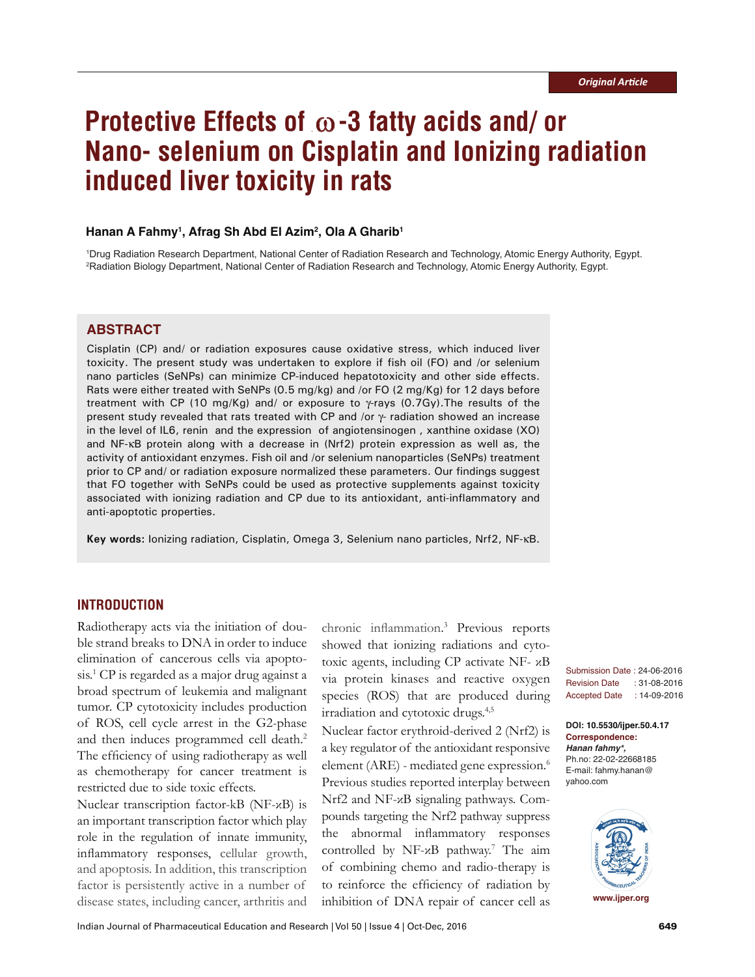# **Protective Effects of -3 fatty acids and/ or Nano- selenium on Cisplatin and Ionizing radiation induced liver toxicity in rats**

## **Hanan A Fahmy1 , Afrag Sh Abd El Azim2 , Ola A Gharib1**

1 Drug Radiation Research Department, National Center of Radiation Research and Technology, Atomic Energy Authority, Egypt. 2 Radiation Biology Department, National Center of Radiation Research and Technology, Atomic Energy Authority, Egypt.

# **ABSTRACT**

Cisplatin (CP) and/ or radiation exposures cause oxidative stress, which induced liver toxicity. The present study was undertaken to explore if fish oil (FO) and /or selenium nano particles (SeNPs) can minimize CP-induced hepatotoxicity and other side effects. Rats were either treated with SeNPs (0.5 mg/kg) and /or FO (2 mg/Kg) for 12 days before treatment with CP (10 mg/Kg) and/ or exposure to  $\gamma$ -rays (0.7Gy). The results of the present study revealed that rats treated with CP and /or γ- radiation showed an increase in the level of IL6, renin and the expression of angiotensinogen , xanthine oxidase (XO) and NF-κB protein along with a decrease in (Nrf2) protein expression as well as, the activity of antioxidant enzymes. Fish oil and /or selenium nanoparticles (SeNPs) treatment prior to CP and/ or radiation exposure normalized these parameters. Our findings suggest that FO together with SeNPs could be used as protective supplements against toxicity associated with ionizing radiation and CP due to its antioxidant, anti-inflammatory and anti-apoptotic properties.

**Key words:** Ionizing radiation, Cisplatin, Omega 3, Selenium nano particles, Nrf2, NF-κB.

# **INTRODUCTION**

Radiotherapy acts via the initiation of double strand breaks to DNA in order to induce elimination of cancerous cells via apoptosis.1 CP is regarded as a major drug against a broad spectrum of leukemia and malignant tumor. CP cytotoxicity includes production of ROS, cell cycle arrest in the G2-phase and then induces programmed cell death.<sup>2</sup> The efficiency of using radiotherapy as well as chemotherapy for cancer treatment is restricted due to side toxic effects.

Nuclear transcription factor-kB (NF-κB) is an important transcription factor which play role in the regulation of innate immunity, inflammatory responses, cellular growth, and apoptosis. In addition, this transcription factor is persistently active in a number of disease states, including cancer, arthritis and

chronic inflammation. 3 Previous reports showed that ionizing radiations and cytotoxic agents, including CP activate NF- κB via protein kinases and reactive oxygen species (ROS) that are produced during irradiation and cytotoxic drugs.4,5

Nuclear factor erythroid-derived 2 (Nrf2) is a key regulator of the antioxidant responsive element (ARE) - mediated gene expression.<sup>6</sup> Previous studies reported interplay between Nrf2 and NF-κB signaling pathways. Compounds targeting the Nrf2 pathway suppress the abnormal inflammatory responses controlled by NF-κB pathway.<sup>7</sup> The aim of combining chemo and radio-therapy is to reinforce the efficiency of radiation by inhibition of DNA repair of cancer cell as

Submission Date : 24-06-2016 Revision Date : 31-08-2016 Accepted Date : 14-09-2016

**DOI: 10.5530/ijper.50.4.17 Correspondence:** *Hanan fahmy\*,* Ph.no: 22-02-22668185 E-mail: fahmy.hanan@ yahoo.com



**www.ijper.org**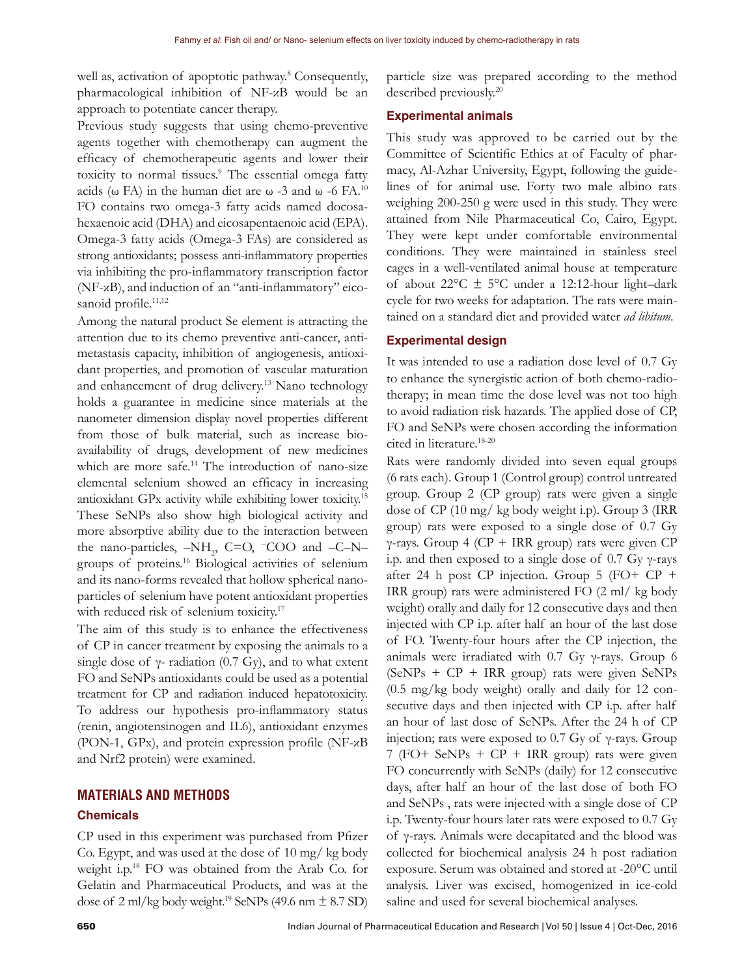well as, activation of apoptotic pathway.<sup>8</sup> Consequently, pharmacological inhibition of NF-κB would be an approach to potentiate cancer therapy.

Previous study suggests that using chemo-preventive agents together with chemotherapy can augment the efficacy of chemotherapeutic agents and lower their toxicity to normal tissues.<sup>9</sup> The essential omega fatty acids (ω FA) in the human diet are ω -3 and ω -6 FA.<sup>10</sup> FO contains two omega-3 fatty acids named docosahexaenoic acid (DHA) and eicosapentaenoic acid (EPA). Omega-3 fatty acids (Omega-3 FAs) are considered as strong antioxidants; possess anti-inflammatory properties via inhibiting the pro-inflammatory transcription factor (NF-κB), and induction of an "anti-inflammatory" eicosanoid profile.<sup>11,12</sup>

Among the natural product Se element is attracting the attention due to its chemo preventive anti-cancer, antimetastasis capacity, inhibition of angiogenesis, antioxidant properties, and promotion of vascular maturation and enhancement of drug delivery.<sup>13</sup> Nano technology holds a guarantee in medicine since materials at the nanometer dimension display novel properties different from those of bulk material, such as increase bioavailability of drugs, development of new medicines which are more safe.<sup>14</sup> The introduction of nano-size elemental selenium showed an efficacy in increasing antioxidant GPx activity while exhibiting lower toxicity.<sup>15</sup> These SeNPs also show high biological activity and more absorptive ability due to the interaction between the nano-particles,  $-NH_2$ , C=O,  $-COO$  and  $-C-N$ groups of proteins.16 Biological activities of selenium and its nano-forms revealed that hollow spherical nanoparticles of selenium have potent antioxidant properties with reduced risk of selenium toxicity.<sup>17</sup>

The aim of this study is to enhance the effectiveness of CP in cancer treatment by exposing the animals to a single dose of  $\gamma$ - radiation (0.7 Gy), and to what extent FO and SeNPs antioxidants could be used as a potential treatment for CP and radiation induced hepatotoxicity. To address our hypothesis pro-inflammatory status (renin, angiotensinogen and IL6), antioxidant enzymes (PON-1, GPx), and protein expression profile (NF-κB and Nrf2 protein) were examined.

# **MATERIALS AND METHODS**

# **Chemicals**

CP used in this experiment was purchased from Pfizer Co. Egypt, and was used at the dose of 10 mg/ kg body weight i.p.<sup>18</sup> FO was obtained from the Arab Co. for Gelatin and Pharmaceutical Products, and was at the dose of  $2 \text{ ml/kg}$  body weight.<sup>19</sup> SeNPs (49.6 nm  $\pm$  8.7 SD)

particle size was prepared according to the method described previously.20

#### **Experimental animals**

This study was approved to be carried out by the Committee of Scientific Ethics at of Faculty of pharmacy, Al-Azhar University, Egypt, following the guidelines of for animal use. Forty two male albino rats weighing 200-250 g were used in this study. They were attained from Nile Pharmaceutical Co, Cairo, Egypt. They were kept under comfortable environmental conditions. They were maintained in stainless steel cages in a well-ventilated animal house at temperature of about  $22^{\circ}$ C  $\pm$  5°C under a 12:12-hour light-dark cycle for two weeks for adaptation. The rats were maintained on a standard diet and provided water *ad libitum*.

## **Experimental design**

It was intended to use a radiation dose level of 0.7 Gy to enhance the synergistic action of both chemo-radiotherapy; in mean time the dose level was not too high to avoid radiation risk hazards. The applied dose of CP, FO and SeNPs were chosen according the information cited in literature.18-20

Rats were randomly divided into seven equal groups (6 rats each). Group 1 (Control group) control untreated group. Group 2 (CP group) rats were given a single dose of CP (10 mg/ kg body weight i.p). Group 3 (IRR group) rats were exposed to a single dose of 0.7 Gy γ-rays. Group 4 (CP + IRR group) rats were given CP i.p. and then exposed to a single dose of 0.7 Gy  $\gamma$ -rays after 24 h post CP injection. Group 5 (FO+ CP + IRR group) rats were administered FO (2 ml/ kg body weight) orally and daily for 12 consecutive days and then injected with CP i.p. after half an hour of the last dose of FO. Twenty-four hours after the CP injection, the animals were irradiated with  $0.7$  Gy  $\gamma$ -rays. Group 6  $(SeNPs + CP + IRR group)$  rats were given  $SeNPs$ (0.5 mg/kg body weight) orally and daily for 12 consecutive days and then injected with CP i.p. after half an hour of last dose of SeNPs. After the 24 h of CP injection; rats were exposed to 0.7 Gy of  $\gamma$ -rays. Group 7 (FO+ SeNPs + CP + IRR group) rats were given FO concurrently with SeNPs (daily) for 12 consecutive days, after half an hour of the last dose of both FO and SeNPs , rats were injected with a single dose of CP i.p. Twenty-four hours later rats were exposed to 0.7 Gy of γ-rays. Animals were decapitated and the blood was collected for biochemical analysis 24 h post radiation exposure. Serum was obtained and stored at -20°C until analysis. Liver was excised, homogenized in ice-cold saline and used for several biochemical analyses.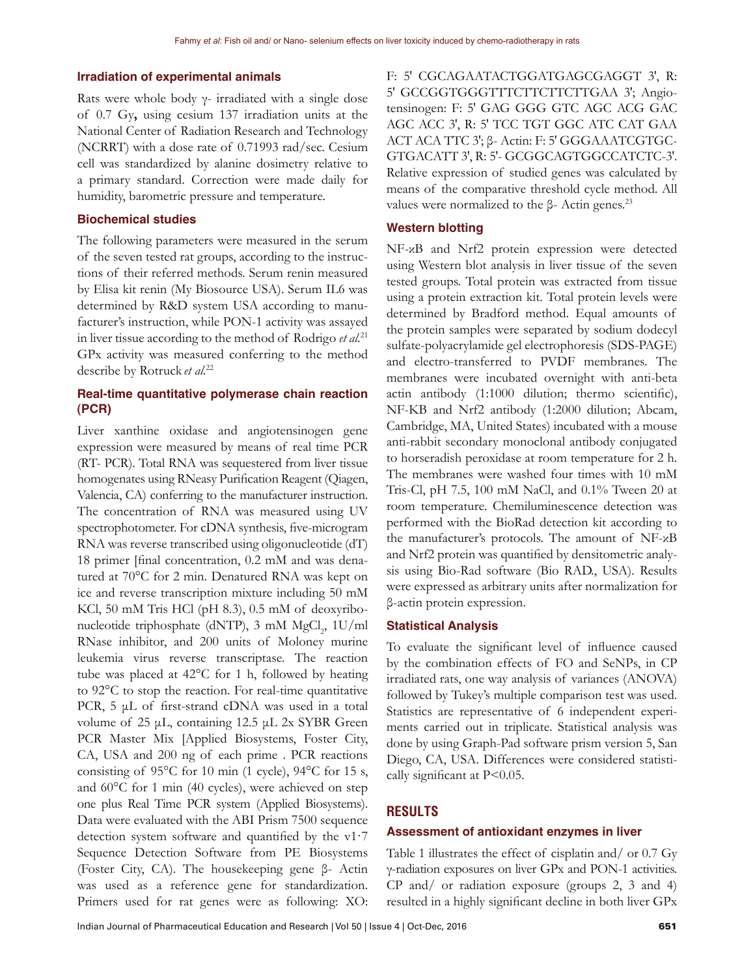#### **Irradiation of experimental animals**

Rats were whole body  $\gamma$ - irradiated with a single dose of 0.7 Gy**,** using cesium 137 irradiation units at the National Center of Radiation Research and Technology (NCRRT) with a dose rate of 0.71993 rad/sec. Cesium cell was standardized by alanine dosimetry relative to a primary standard. Correction were made daily for humidity, barometric pressure and temperature.

## **Biochemical studies**

The following parameters were measured in the serum of the seven tested rat groups, according to the instructions of their referred methods. Serum renin measured by Elisa kit renin (My Biosource USA). Serum IL6 was determined by R&D system USA according to manufacturer's instruction, while PON-1 activity was assayed in liver tissue according to the method of Rodrigo *et al.*<sup>21</sup> GPx activity was measured conferring to the method describe by Rotruck *et al.*<sup>22</sup>

# **Real-time quantitative polymerase chain reaction (PCR)**

Liver xanthine oxidase and angiotensinogen gene expression were measured by means of real time PCR (RT- PCR). Total RNA was sequestered from liver tissue homogenates using RNeasy Purification Reagent (Qiagen, Valencia, CA) conferring to the manufacturer instruction. The concentration of RNA was measured using UV spectrophotometer. For cDNA synthesis, five-microgram RNA was reverse transcribed using oligonucleotide (dT) 18 primer [final concentration, 0.2 mM and was denatured at 70°C for 2 min. Denatured RNA was kept on ice and reverse transcription mixture including 50 mM KCl, 50 mM Tris HCl (pH 8.3), 0.5 mM of deoxyribonucleotide triphosphate (dNTP), 3 mM MgCl<sub>2</sub>, 1U/ml RNase inhibitor, and 200 units of Moloney murine leukemia virus reverse transcriptase. The reaction tube was placed at 42°C for 1 h, followed by heating to 92°C to stop the reaction. For real-time quantitative PCR, 5 μL of first-strand cDNA was used in a total volume of 25 μL, containing 12.5 μL 2x SYBR Green PCR Master Mix [Applied Biosystems, Foster City, CA, USA and 200 ng of each prime . PCR reactions consisting of 95°C for 10 min (1 cycle), 94°C for 15 s, and 60°C for 1 min (40 cycles), were achieved on step one plus Real Time PCR system (Applied Biosystems). Data were evaluated with the ABI Prism 7500 sequence detection system software and quantified by the v1·7 Sequence Detection Software from PE Biosystems (Foster City, CA). The housekeeping gene β- Actin was used as a reference gene for standardization. Primers used for rat genes were as following: XO:

F: 5′ CGCAGAATACTGGATGAGCGAGGT 3′, R: 5′ GCCGGTGGGTTTCTTCTTCTTGAA 3′; Angiotensinogen: F: 5′ GAG GGG GTC AGC ACG GAC AGC ACC 3′, R: 5′ TCC TGT GGC ATC CAT GAA ACT ACA TTC 3′; β- Actin: F: 5′ GGGAAATCGTGC-GTGACATT 3′, R: 5′- GCGGCAGTGGCCATCTC-3′. Relative expression of studied genes was calculated by means of the comparative threshold cycle method. All values were normalized to the β- Actin genes.<sup>23</sup>

## **Western blotting**

NF-κB and Nrf2 protein expression were detected using Western blot analysis in liver tissue of the seven tested groups. Total protein was extracted from tissue using a protein extraction kit. Total protein levels were determined by Bradford method. Equal amounts of the protein samples were separated by sodium dodecyl sulfate-polyacrylamide gel electrophoresis (SDS-PAGE) and electro-transferred to PVDF membranes. The membranes were incubated overnight with anti-beta actin antibody (1:1000 dilution; thermo scientific), NF-ΚB and Nrf2 antibody (1:2000 dilution; Abcam, Cambridge, MA, United States) incubated with a mouse anti-rabbit secondary monoclonal antibody conjugated to horseradish peroxidase at room temperature for 2 h. The membranes were washed four times with 10 mM Tris-Cl, pH 7.5, 100 mM NaCl, and 0.1% Tween 20 at room temperature. Chemiluminescence detection was performed with the BioRad detection kit according to the manufacturer's protocols. The amount of NF-κB and Nrf2 protein was quantified by densitometric analysis using Bio-Rad software (Bio RAD., USA). Results were expressed as arbitrary units after normalization for β-actin protein expression.

# **Statistical Analysis**

To evaluate the significant level of influence caused by the combination effects of FO and SeNPs, in CP irradiated rats, one way analysis of variances (ANOVA) followed by Tukey's multiple comparison test was used. Statistics are representative of 6 independent experiments carried out in triplicate. Statistical analysis was done by using Graph-Pad software prism version 5, San Diego, CA, USA. Differences were considered statistically significant at P<0.05.

# **RESULTS**

#### **Assessment of antioxidant enzymes in liver**

Table 1 illustrates the effect of cisplatin and/ or 0.7 Gy γ-radiation exposures on liver GPx and PON-1 activities. CP and/ or radiation exposure (groups 2, 3 and 4) resulted in a highly significant decline in both liver GPx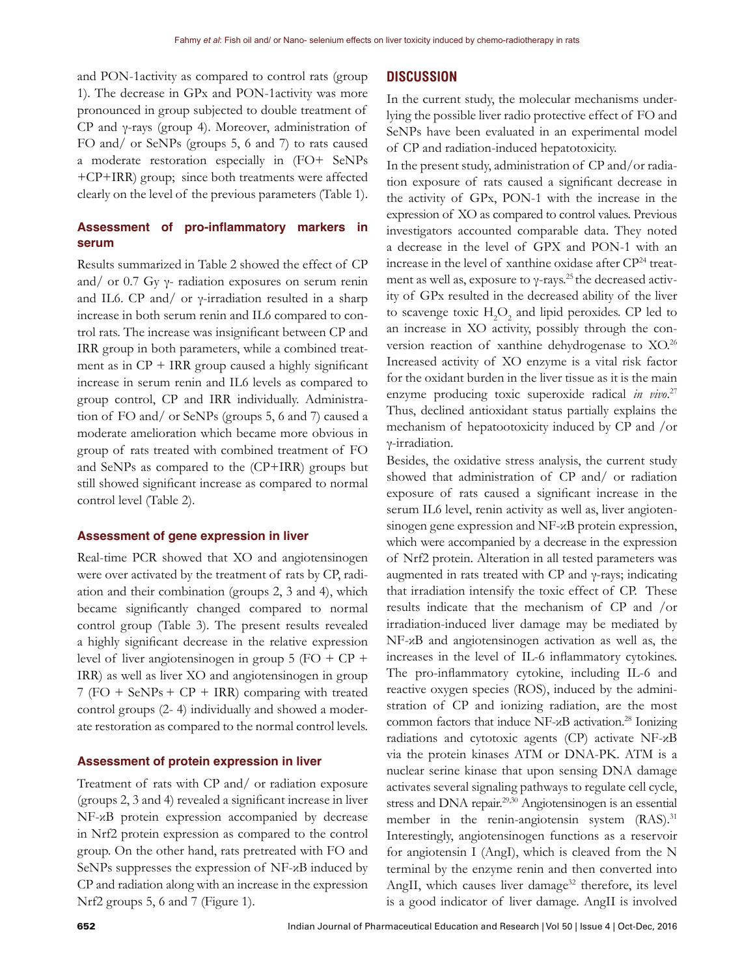and PON-1activity as compared to control rats (group 1). The decrease in GPx and PON-1activity was more pronounced in group subjected to double treatment of CP and γ-rays (group 4). Moreover, administration of FO and/ or SeNPs (groups 5, 6 and 7) to rats caused a moderate restoration especially in (FO+ SeNPs +CP+IRR) group; since both treatments were affected clearly on the level of the previous parameters (Table 1).

# **Assessment of pro-inflammatory markers in serum**

Results summarized in Table 2 showed the effect of CP and/ or 0.7 Gy  $\gamma$ - radiation exposures on serum renin and IL6. CP and/ or γ-irradiation resulted in a sharp increase in both serum renin and IL6 compared to control rats. The increase was insignificant between CP and IRR group in both parameters, while a combined treatment as in CP + IRR group caused a highly significant increase in serum renin and IL6 levels as compared to group control, CP and IRR individually. Administration of FO and/ or SeNPs (groups 5, 6 and 7) caused a moderate amelioration which became more obvious in group of rats treated with combined treatment of FO and SeNPs as compared to the (CP+IRR) groups but still showed significant increase as compared to normal control level (Table 2).

## **Assessment of gene expression in liver**

Real-time PCR showed that XO and angiotensinogen were over activated by the treatment of rats by CP, radiation and their combination (groups 2, 3 and 4), which became significantly changed compared to normal control group (Table 3). The present results revealed a highly significant decrease in the relative expression level of liver angiotensinogen in group  $5$  (FO + CP + IRR) as well as liver XO and angiotensinogen in group 7 (FO + SeNPs + CP + IRR) comparing with treated control groups (2- 4) individually and showed a moderate restoration as compared to the normal control levels.

## **Assessment of protein expression in liver**

Treatment of rats with CP and/ or radiation exposure (groups 2, 3 and 4) revealed a significant increase in liver NF-κB protein expression accompanied by decrease in Nrf2 protein expression as compared to the control group. On the other hand, rats pretreated with FO and SeNPs suppresses the expression of NF-κB induced by CP and radiation along with an increase in the expression Nrf2 groups 5, 6 and 7 (Figure 1).

# **DISCUSSION**

In the current study, the molecular mechanisms underlying the possible liver radio protective effect of FO and SeNPs have been evaluated in an experimental model of CP and radiation-induced hepatotoxicity.

In the present study, administration of CP and/or radiation exposure of rats caused a significant decrease in the activity of GPx, PON-1 with the increase in the expression of XO as compared to control values. Previous investigators accounted comparable data. They noted a decrease in the level of GPX and PON-1 with an increase in the level of xanthine oxidase after CP24 treatment as well as, exposure to  $\gamma$ -rays.<sup>25</sup> the decreased activity of GPx resulted in the decreased ability of the liver to scavenge toxic  $H_2O_2$  and lipid peroxides. CP led to an increase in XO activity, possibly through the conversion reaction of xanthine dehydrogenase to XO.<sup>26</sup> Increased activity of XO enzyme is a vital risk factor for the oxidant burden in the liver tissue as it is the main enzyme producing toxic superoxide radical *in vivo*. 27 Thus, declined antioxidant status partially explains the mechanism of hepatootoxicity induced by CP and /or γ-irradiation.

Besides, the oxidative stress analysis, the current study showed that administration of CP and/ or radiation exposure of rats caused a significant increase in the serum IL6 level, renin activity as well as, liver angiotensinogen gene expression and NF-κB protein expression, which were accompanied by a decrease in the expression of Nrf2 protein. Alteration in all tested parameters was augmented in rats treated with CP and γ-rays; indicating that irradiation intensify the toxic effect of CP. These results indicate that the mechanism of CP and /or irradiation-induced liver damage may be mediated by NF-κB and angiotensinogen activation as well as, the increases in the level of IL-6 inflammatory cytokines. The pro-inflammatory cytokine, including IL-6 and reactive oxygen species (ROS), induced by the administration of CP and ionizing radiation, are the most common factors that induce  $NF-\alpha B$  activation.<sup>28</sup> Ionizing radiations and cytotoxic agents (CP) activate NF-κB via the protein kinases ATM or DNA-PK. ATM is a nuclear serine kinase that upon sensing DNA damage activates several signaling pathways to regulate cell cycle, stress and DNA repair.<sup>29,30</sup> Angiotensinogen is an essential member in the renin-angiotensin system  $(RAS)^{31}$ Interestingly, angiotensinogen functions as a reservoir for angiotensin I (AngI), which is cleaved from the N terminal by the enzyme renin and then converted into AngII, which causes liver damage<sup>32</sup> therefore, its level is a good indicator of liver damage. AngII is involved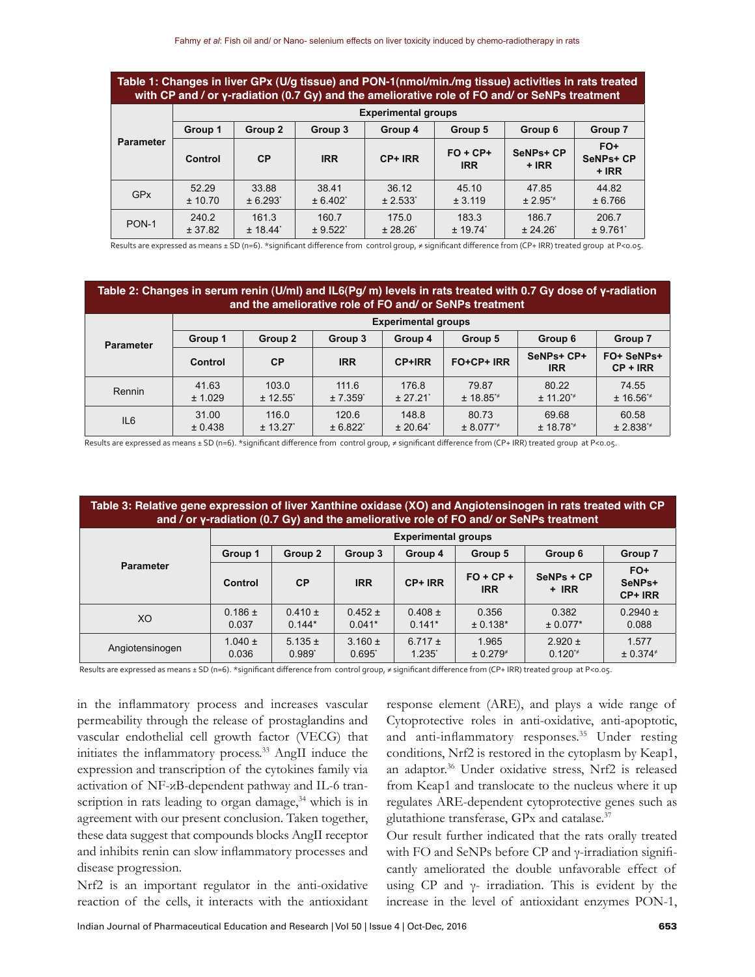| Table 1: Changes in liver GPx (U/g tissue) and PON-1(nmol/min./mg tissue) activities in rats treated<br>with CP and / or y-radiation (0.7 Gy) and the ameliorative role of FO and/ or SeNPs treatment |                            |           |            |         |                          |                             |                                    |  |  |
|-------------------------------------------------------------------------------------------------------------------------------------------------------------------------------------------------------|----------------------------|-----------|------------|---------|--------------------------|-----------------------------|------------------------------------|--|--|
| <b>Parameter</b>                                                                                                                                                                                      | <b>Experimental groups</b> |           |            |         |                          |                             |                                    |  |  |
|                                                                                                                                                                                                       | Group 1                    | Group 2   | Group 3    | Group 4 | Group 5                  | Group 6                     | Group 7                            |  |  |
|                                                                                                                                                                                                       | Control                    | <b>CP</b> | <b>IRR</b> | CP+ IRR | $FO + CP+$<br><b>IRR</b> | <b>SeNPs+ CP</b><br>$+$ IRR | FO+<br><b>SeNPs+ CP</b><br>$+$ IRR |  |  |

36.12 ± 2.533\*

175.0

45.10 ± 3.119

183.3

47.85 ± 2.95\*≠

186.7

44.82 ± 6.766

206.7

PON-1  $240.2$ ± 37.82 ± 18.44\* ± 9.522\* ± 28.26\* ± 19.74\* ± 24.26\* ± 9.761\*

38.41 ± 6.402\*

160.7

Results are expressed as means ± SD (n=6). \*significant difference from control group, ≠ significant difference from (CP+ IRR) treated group at P<0.05.

## **Table 2: Changes in serum renin (U/ml) and IL6(Pg/ m) levels in rats treated with 0.7 Gy dose of γ-radiation and the ameliorative role of FO and/ or SeNPs treatment**

| <b>Parameter</b> | <b>Experimental groups</b> |                                 |                                 |                                 |                        |                                 |                          |  |  |
|------------------|----------------------------|---------------------------------|---------------------------------|---------------------------------|------------------------|---------------------------------|--------------------------|--|--|
|                  | Group 1                    | Group 2                         | Group 3                         | Group 4                         | Group 5                | Group 6                         | Group 7                  |  |  |
|                  | Control                    | CP                              | <b>IRR</b>                      | <b>CP+IRR</b>                   | FO+CP+ IRR             | SeNPs+ CP+<br><b>IRR</b>        | FO+ SeNPs+<br>$CP + IRR$ |  |  |
| Rennin           | 41.63<br>± 1.029           | 103.0<br>$± 12.55$ <sup>*</sup> | 111.6<br>$± 7.359$ <sup>*</sup> | 176.8<br>± 27.21                | 79.87<br>$± 18.85*$    | 80.22<br>$± 11.20$ <sup>*</sup> | 74.55<br>$± 16.56*$      |  |  |
| IL <sub>6</sub>  | 31.00<br>± 0.438           | 116.0<br>± 13.27'               | 120.6<br>± 6.822                | 148.8<br>$± 20.64$ <sup>*</sup> | 80.73<br>$± 8.077^{*}$ | 69.68<br>$± 18.78^{*}$          | 60.58<br>$± 2.838*$      |  |  |

Results are expressed as means ± SD (n=6). \*significant difference from control group, ≠ significant difference from (CP+ IRR) treated group at P<0.05.

| Table 3: Relative gene expression of liver Xanthine oxidase (XO) and Angiotensinogen in rats treated with CP<br>and / or y-radiation (0.7 Gy) and the ameliorative role of FO and/ or SeNPs treatment |                            |                            |                         |                                     |                           |                            |                            |  |  |
|-------------------------------------------------------------------------------------------------------------------------------------------------------------------------------------------------------|----------------------------|----------------------------|-------------------------|-------------------------------------|---------------------------|----------------------------|----------------------------|--|--|
|                                                                                                                                                                                                       | <b>Experimental groups</b> |                            |                         |                                     |                           |                            |                            |  |  |
|                                                                                                                                                                                                       | Group 1                    | Group 2                    | Group 3                 | Group 4                             | Group 5                   | Group 6                    | Group 7                    |  |  |
| <b>Parameter</b>                                                                                                                                                                                      | Control                    | <b>CP</b>                  | <b>IRR</b>              | CP+ IRR                             | $FO + CP +$<br><b>IRR</b> | SeNPs + CP<br>$+$ IRR      | $FO+$<br>SeNPs+<br>CP+ IRR |  |  |
| XO.                                                                                                                                                                                                   | $0.186 \pm$<br>0.037       | $0.410 \pm$<br>$0.144*$    | $0.452 \pm$<br>$0.041*$ | $0.408 \pm$<br>$0.141*$             | 0.356<br>$± 0.138*$       | 0.382<br>$± 0.077*$        | $0.2940 \pm$<br>0.088      |  |  |
| Angiotensinogen                                                                                                                                                                                       | $1.040 \pm$<br>0.036       | $5.135 \pm$<br>$0.989^{*}$ | $3.160 \pm$<br>0.695    | 6.717 $\pm$<br>$1.235$ <sup>*</sup> | 1.965<br>$\pm 0.279^{*}$  | $2.920 \pm$<br>$0.120^{*}$ | 1.577<br>$± 0.374*$        |  |  |

Results are expressed as means ± SD (n=6). \*significant difference from control group, ≠ significant difference from (CP+ IRR) treated group at P<0.05.

in the inflammatory process and increases vascular permeability through the release of prostaglandins and vascular endothelial cell growth factor (VECG) that initiates the inflammatory process.33 AngII induce the expression and transcription of the cytokines family via activation of NF-κB-dependent pathway and IL-6 transcription in rats leading to organ damage, $34$  which is in agreement with our present conclusion. Taken together, these data suggest that compounds blocks AngII receptor and inhibits renin can slow inflammatory processes and disease progression.

GPx  $52.29$ 

± 10.70

33.88 ± 6.293\*

161.3

Nrf2 is an important regulator in the anti-oxidative reaction of the cells, it interacts with the antioxidant

response element (ARE), and plays a wide range of Cytoprotective roles in anti-oxidative, anti-apoptotic, and anti-inflammatory responses.<sup>35</sup> Under resting conditions, Nrf2 is restored in the cytoplasm by Keap1, an adaptor.36 Under oxidative stress, Nrf2 is released from Keap1 and translocate to the nucleus where it up regulates ARE-dependent cytoprotective genes such as glutathione transferase, GPx and catalase.37

Our result further indicated that the rats orally treated with FO and SeNPs before CP and γ-irradiation significantly ameliorated the double unfavorable effect of using CP and  $γ$ - irradiation. This is evident by the increase in the level of antioxidant enzymes PON-1,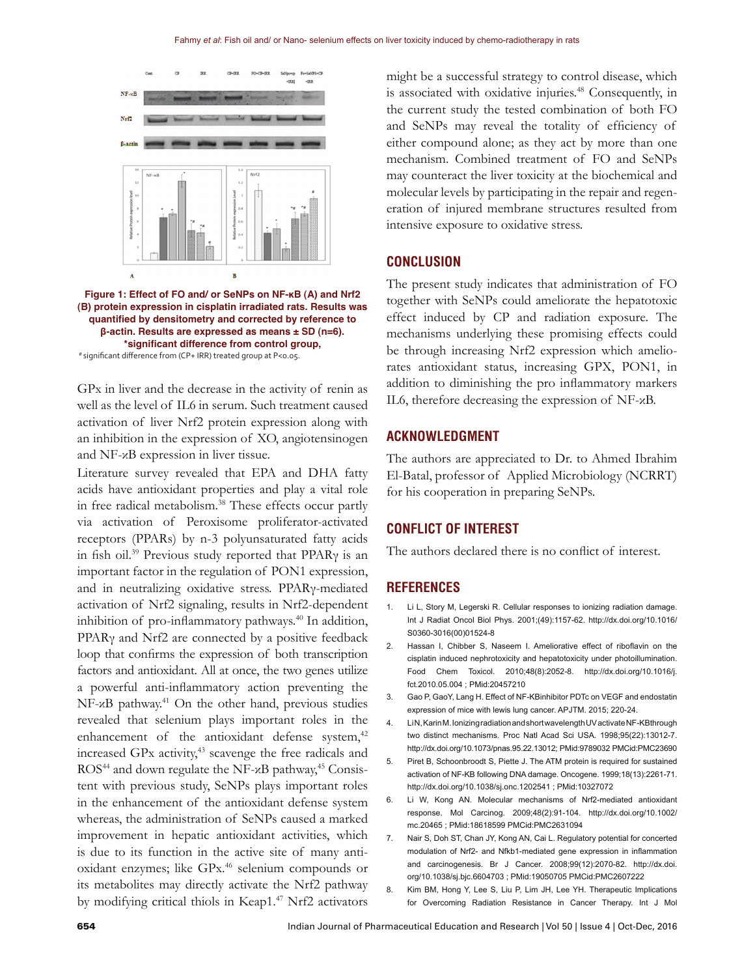

**Figure 1: Effect of FO and/ or SeNPs on NF-κB (A) and Nrf2 (B) protein expression in cisplatin irradiated rats. Results was quantified by densitometry and corrected by reference to β-actin. Results are expressed as means ± SD (n=6). \*significant difference from control group,** # significant difference from (CP+ IRR) treated group at P<0.05.

GPx in liver and the decrease in the activity of renin as well as the level of IL6 in serum. Such treatment caused activation of liver Nrf2 protein expression along with an inhibition in the expression of XO, angiotensinogen and NF-κB expression in liver tissue.

Literature survey revealed that EPA and DHA fatty acids have antioxidant properties and play a vital role in free radical metabolism.<sup>38</sup> These effects occur partly via activation of Peroxisome proliferator-activated receptors (PPARs) by n-3 polyunsaturated fatty acids in fish oil.<sup>39</sup> Previous study reported that PPARγ is an important factor in the regulation of PON1 expression, and in neutralizing oxidative stress. PPARγ-mediated activation of Nrf2 signaling, results in Nrf2-dependent inhibition of pro-inflammatory pathways.<sup>40</sup> In addition, PPARγ and Nrf2 are connected by a positive feedback loop that confirms the expression of both transcription factors and antioxidant. All at once, the two genes utilize a powerful anti-inflammatory action preventing the NF-κB pathway.41 On the other hand, previous studies revealed that selenium plays important roles in the enhancement of the antioxidant defense system, $42$ increased GPx activity,<sup>43</sup> scavenge the free radicals and  $ROS<sup>44</sup>$  and down regulate the NF- $\alpha$ B pathway,<sup>45</sup> Consistent with previous study, SeNPs plays important roles in the enhancement of the antioxidant defense system whereas, the administration of SeNPs caused a marked improvement in hepatic antioxidant activities, which is due to its function in the active site of many antioxidant enzymes; like GPx.<sup>46</sup> selenium compounds or its metabolites may directly activate the Nrf2 pathway by modifying critical thiols in Keap1.47 Nrf2 activators

might be a successful strategy to control disease, which is associated with oxidative injuries.<sup>48</sup> Consequently, in the current study the tested combination of both FO and SeNPs may reveal the totality of efficiency of either compound alone; as they act by more than one mechanism. Combined treatment of FO and SeNPs may counteract the liver toxicity at the biochemical and molecular levels by participating in the repair and regeneration of injured membrane structures resulted from intensive exposure to oxidative stress.

## **CONCLUSION**

The present study indicates that administration of FO together with SeNPs could ameliorate the hepatotoxic effect induced by CP and radiation exposure. The mechanisms underlying these promising effects could be through increasing Nrf2 expression which ameliorates antioxidant status, increasing GPX, PON1, in addition to diminishing the pro inflammatory markers IL6, therefore decreasing the expression of NF-κB.

## **ACKNOWLEDGMENT**

The authors are appreciated to Dr. to Ahmed Ibrahim El-Batal, professor of Applied Microbiology (NCRRT) for his cooperation in preparing SeNPs.

# **CONFLICT OF INTEREST**

The authors declared there is no conflict of interest.

## **REFERENCES**

- 1. Li L, Story M, Legerski R. Cellular responses to ionizing radiation damage. Int J Radiat Oncol Biol Phys. 2001;(49):1157-62. http://dx.doi.org/10.1016/ S0360-3016(00)01524-8
- 2. Hassan I, Chibber S, Naseem I. Ameliorative effect of riboflavin on the cisplatin induced nephrotoxicity and hepatotoxicity under photoillumination. Food Chem Toxicol. 2010;48(8):2052-8. http://dx.doi.org/10.1016/j. fct.2010.05.004 ; PMid:20457210
- 3. Gao P, GaoY, Lang H. Effect of NF-ΚBinhibitor PDTc on VEGF and endostatin expression of mice with lewis lung cancer. APJTM. 2015; 220-24.
- 4. Li N, Karin M. Ionizing radiation and short wavelength UV activate NF-ΚBthrough two distinct mechanisms. Proc Natl Acad Sci USA. 1998;95(22):13012-7. http://dx.doi.org/10.1073/pnas.95.22.13012; PMid:9789032 PMCid:PMC23690
- 5. Piret B, Schoonbroodt S, Piette J. The ATM protein is required for sustained activation of NF-ΚB following DNA damage. Oncogene. 1999;18(13):2261-71. http://dx.doi.org/10.1038/sj.onc.1202541 ; PMid:10327072
- 6. Li W, Kong AN. Molecular mechanisms of Nrf2-mediated antioxidant response. Mol Carcinog. 2009;48(2):91-104. http://dx.doi.org/10.1002/ mc.20465 ; PMid:18618599 PMCid:PMC2631094
- 7. Nair S, Doh ST, Chan JY, Kong AN, Cai L. Regulatory potential for concerted modulation of Nrf2- and Nfkb1-mediated gene expression in inflammation and carcinogenesis. Br J Cancer. 2008;99(12):2070-82. http://dx.doi. org/10.1038/sj.bjc.6604703 ; PMid:19050705 PMCid:PMC2607222
- 8. Kim BM, Hong Y, Lee S, Liu P, Lim JH, Lee YH. Therapeutic Implications for Overcoming Radiation Resistance in Cancer Therapy. Int J Mol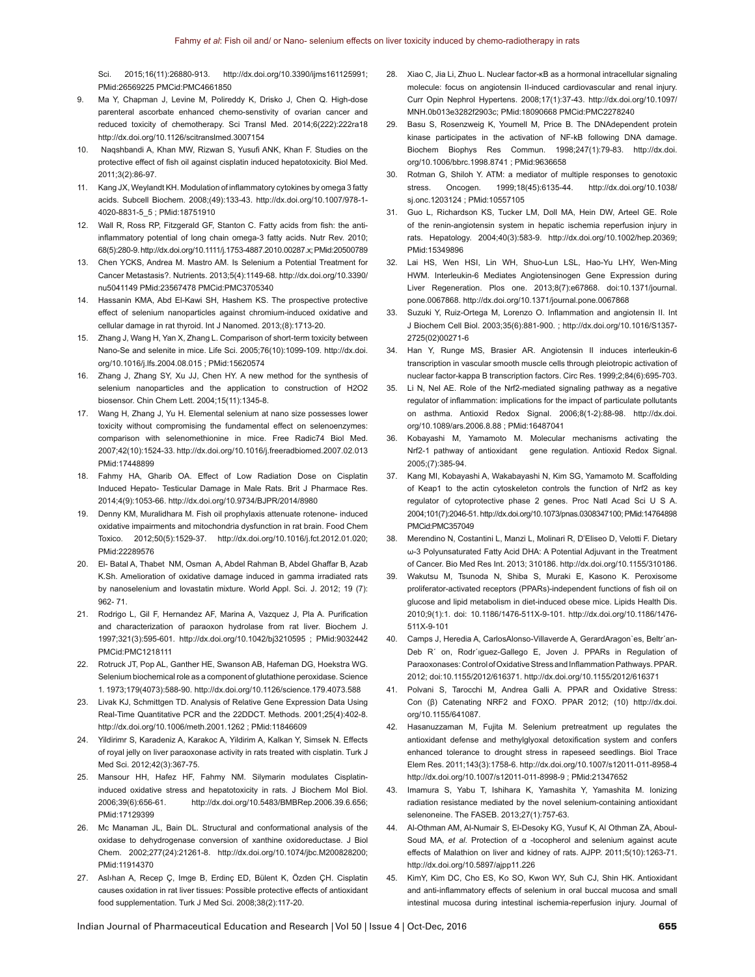Sci. 2015;16(11):26880-913. http://dx.doi.org/10.3390/ijms161125991; PMid:26569225 PMCid:PMC4661850

- 9. Ma Y, Chapman J, Levine M, Polireddy K, Drisko J, Chen Q. High-dose parenteral ascorbate enhanced chemo-senstivity of ovarian cancer and reduced toxicity of chemotherapy. Sci Transl Med. 2014;6(222):222ra18 http://dx.doi.org/10.1126/scitranslmed.3007154
- 10. Naqshbandi A, Khan MW, Rizwan S, Yusufi ANK, Khan F. Studies on the protective effect of fish oil against cisplatin induced hepatotoxicity. Biol Med. 2011;3(2):86-97.
- 11. Kang JX, Weylandt KH. Modulation of inflammatory cytokines by omega 3 fatty acids. Subcell Biochem. 2008;(49):133-43. http://dx.doi.org/10.1007/978-1- 4020-8831-5\_5 ; PMid:18751910
- 12. Wall R, Ross RP, Fitzgerald GF, Stanton C. Fatty acids from fish: the antiinflammatory potential of long chain omega-3 fatty acids. Nutr Rev. 2010; 68(5):280-9. http://dx.doi.org/10.1111/j.1753-4887.2010.00287.x; PMid:20500789
- 13. Chen YCKS, Andrea M. Mastro AM. Is Selenium a Potential Treatment for Cancer Metastasis?. Nutrients. 2013;5(4):1149-68. http://dx.doi.org/10.3390/ nu5041149 PMid:23567478 PMCid:PMC3705340
- 14. Hassanin KMA, Abd El-Kawi SH, Hashem KS. The prospective protective effect of selenium nanoparticles against chromium-induced oxidative and cellular damage in rat thyroid. Int J Nanomed. 2013;(8):1713-20.
- 15. Zhang J, Wang H, Yan X, Zhang L. Comparison of short-term toxicity between Nano-Se and selenite in mice. Life Sci. 2005;76(10):1099-109. http://dx.doi. org/10.1016/j.lfs.2004.08.015 ; PMid:15620574
- 16. Zhang J, Zhang SY, Xu JJ, Chen HY. A new method for the synthesis of selenium nanoparticles and the application to construction of H2O2 biosensor. Chin Chem Lett. 2004;15(11):1345-8.
- 17. Wang H, Zhang J, Yu H. Elemental selenium at nano size possesses lower toxicity without compromising the fundamental effect on selenoenzymes: comparison with selenomethionine in mice. Free Radic74 Biol Med. 2007;42(10):1524-33. http://dx.doi.org/10.1016/j.freeradbiomed.2007.02.013 PMid:17448899
- 18. Fahmy HA, Gharib OA. Effect of Low Radiation Dose on Cisplatin Induced Hepato- Testicular Damage in Male Rats. Brit J Pharmace Res. 2014;4(9):1053-66. http://dx.doi.org/10.9734/BJPR/2014/8980
- 19. Denny KM, Muralidhara M. Fish oil prophylaxis attenuate rotenone- induced oxidative impairments and mitochondria dysfunction in rat brain. Food Chem Toxico. 2012;50(5):1529-37. http://dx.doi.org/10.1016/j.fct.2012.01.020; PMid:22289576
- 20. El- Batal A, Thabet NM, Osman A, Abdel Rahman B, Abdel Ghaffar B, Azab K.Sh. Amelioration of oxidative damage induced in gamma irradiated rats by nanoselenium and lovastatin mixture. World Appl. Sci. J. 2012; 19 (7): 962- 71.
- 21. Rodrigo L, Gil F, Hernandez AF, Marina A, Vazquez J, Pla A. Purification and characterization of paraoxon hydrolase from rat liver. Biochem J. 1997;321(3):595-601. http://dx.doi.org/10.1042/bj3210595 ; PMid:9032442 PMCid:PMC1218111
- 22. Rotruck JT, Pop AL, Ganther HE, Swanson AB, Hafeman DG, Hoekstra WG. Selenium biochemical role as a component of glutathione peroxidase. Science 1. 1973;179(4073):588-90. http://dx.doi.org/10.1126/science.179.4073.588
- 23. Livak KJ, Schmittgen TD. Analysis of Relative Gene Expression Data Using Real-Time Quantitative PCR and the 22DDCT. Methods. 2001;25(4):402-8. http://dx.doi.org/10.1006/meth.2001.1262 ; PMid:11846609
- 24. Yildirimr S, Karadeniz A, Karakoc A, Yildirim A, Kalkan Y, Simsek N. Effects of royal jelly on liver paraoxonase activity in rats treated with cisplatin. Turk J Med Sci. 2012;42(3):367-75.
- 25. Mansour HH, Hafez HF, Fahmy NM. Silymarin modulates Cisplatininduced oxidative stress and hepatotoxicity in rats. J Biochem Mol Biol. 2006;39(6):656-61. http://dx.doi.org/10.5483/BMBRep.2006.39.6.656; PMid:17129399
- 26. Mc Manaman JL, Bain DL. Structural and conformational analysis of the oxidase to dehydrogenase conversion of xanthine oxidoreductase. J Biol Chem. 2002;277(24):21261-8. http://dx.doi.org/10.1074/jbc.M200828200; PMid:11914370
- 27. Asl›han A, Recep Ç, Imge B, Erdinç ED, Bülent K, Özden ÇH. Cisplatin causes oxidation in rat liver tissues: Possible protective effects of antioxidant food supplementation. Turk J Med Sci. 2008;38(2):117-20.
- 28. Xiao C, Jia Li, Zhuo L. Nuclear factor-κB as a hormonal intracellular signaling molecule: focus on angiotensin II-induced cardiovascular and renal injury. Curr Opin Nephrol Hypertens. 2008;17(1):37-43. http://dx.doi.org/10.1097/ MNH.0b013e3282f2903c; PMid:18090668 PMCid:PMC2278240
- 29. Basu S, Rosenzweig K, Youmell M, Price B. The DNAdependent protein kinase participates in the activation of NF-kB following DNA damage. Biochem Biophys Res Commun. 1998;247(1):79-83. http://dx.doi. org/10.1006/bbrc.1998.8741 ; PMid:9636658
- 30. Rotman G, Shiloh Y. ATM: a mediator of multiple responses to genotoxic stress. Oncogen. 1999;18(45):6135-44. http://dx.doi.org/10.1038/ sj.onc.1203124 ; PMid:10557105
- 31. Guo L, Richardson KS, Tucker LM, Doll MA, Hein DW, Arteel GE. Role of the renin-angiotensin system in hepatic ischemia reperfusion injury in rats. Hepatology. 2004;40(3):583-9. http://dx.doi.org/10.1002/hep.20369; PMid:15349896
- 32. Lai HS, Wen HSI, Lin WH, Shuo-Lun LSL, Hao-Yu LHY, Wen-Ming HWM. Interleukin-6 Mediates Angiotensinogen Gene Expression during Liver Regeneration. Plos one. 2013;8(7):e67868. doi:10.1371/journal. pone.0067868. http://dx.doi.org/10.1371/journal.pone.0067868
- 33. Suzuki Y, Ruiz-Ortega M, Lorenzo O. Inflammation and angiotensin II. Int J Biochem Cell Biol. 2003;35(6):881-900. ; http://dx.doi.org/10.1016/S1357- 2725(02)00271-6
- 34. Han Y, Runge MS, Brasier AR. Angiotensin II induces interleukin-6 transcription in vascular smooth muscle cells through pleiotropic activation of nuclear factor-kappa B transcription factors. Circ Res. 1999;2;84(6):695-703.
- 35. Li N, Nel AE. Role of the Nrf2-mediated signaling pathway as a negative regulator of inflammation: implications for the impact of particulate pollutants on asthma. Antioxid Redox Signal. 2006;8(1-2):88-98. http://dx.doi. org/10.1089/ars.2006.8.88 ; PMid:16487041
- 36. Kobayashi M, Yamamoto M. Molecular mechanisms activating the Nrf2-1 pathway of antioxidant gene regulation. Antioxid Redox Signal. 2005;(7):385-94.
- 37. Kang MI, Kobayashi A, Wakabayashi N, Kim SG, Yamamoto M. Scaffolding of Keap1 to the actin cytoskeleton controls the function of Nrf2 as key regulator of cytoprotective phase 2 genes. Proc Natl Acad Sci U S A. 2004;101(7):2046-51. http://dx.doi.org/10.1073/pnas.0308347100; PMid:14764898 PMCid:PMC357049
- 38. Merendino N, Costantini L, Manzi L, Molinari R, D'Eliseo D, Velotti F. Dietary ω-3 Polyunsaturated Fatty Acid DHA: A Potential Adjuvant in the Treatment of Cancer. Bio Med Res Int. 2013; 310186. http://dx.doi.org/10.1155/310186.
- 39. Wakutsu M, Tsunoda N, Shiba S, Muraki E, Kasono K. Peroxisome proliferator-activated receptors (PPARs)-independent functions of fish oil on glucose and lipid metabolism in diet-induced obese mice. Lipids Health Dis. 2010;9(1):1. doi: 10.1186/1476-511X-9-101. http://dx.doi.org/10.1186/1476- 511X-9-101
- 40. Camps J, Heredia A, CarlosAlonso-Villaverde A, GerardAragon`es, Beltr´an-Deb R´ on, Rodr´ıguez-Gallego E, Joven J. PPARs in Regulation of Paraoxonases: Control of Oxidative Stress and Inflammation Pathways. PPAR. 2012; doi:10.1155/2012/616371. http://dx.doi.org/10.1155/2012/616371
- 41. Polvani S, Tarocchi M, Andrea Galli A. PPAR and Oxidative Stress: Con (β) Catenating NRF2 and FOXO. PPAR 2012; (10) http://dx.doi. org/10.1155/641087.
- 42. Hasanuzzaman M, Fujita M. Selenium pretreatment up regulates the antioxidant defense and methylglyoxal detoxification system and confers enhanced tolerance to drought stress in rapeseed seedlings. Biol Trace Elem Res. 2011;143(3):1758-6. http://dx.doi.org/10.1007/s12011-011-8958-4 http://dx.doi.org/10.1007/s12011-011-8998-9 ; PMid:21347652
- 43. Imamura S, Yabu T, Ishihara K, Yamashita Y, Yamashita M. Ionizing radiation resistance mediated by the novel selenium-containing antioxidant selenoneine. The FASEB. 2013;27(1):757-63.
- 44. Al-Othman AM, Al-Numair S, El-Desoky KG, Yusuf K, Al Othman ZA, Aboul-Soud MA, *et al*. Protection of α -tocopherol and selenium against acute effects of Malathion on liver and kidney of rats. AJPP. 2011;5(10):1263-71. http://dx.doi.org/10.5897/ajpp11.226
- 45. KimY, Kim DC, Cho ES, Ko SO, Kwon WY, Suh CJ, Shin HK. Antioxidant and anti-inflammatory effects of selenium in oral buccal mucosa and small intestinal mucosa during intestinal ischemia-reperfusion injury. Journal of